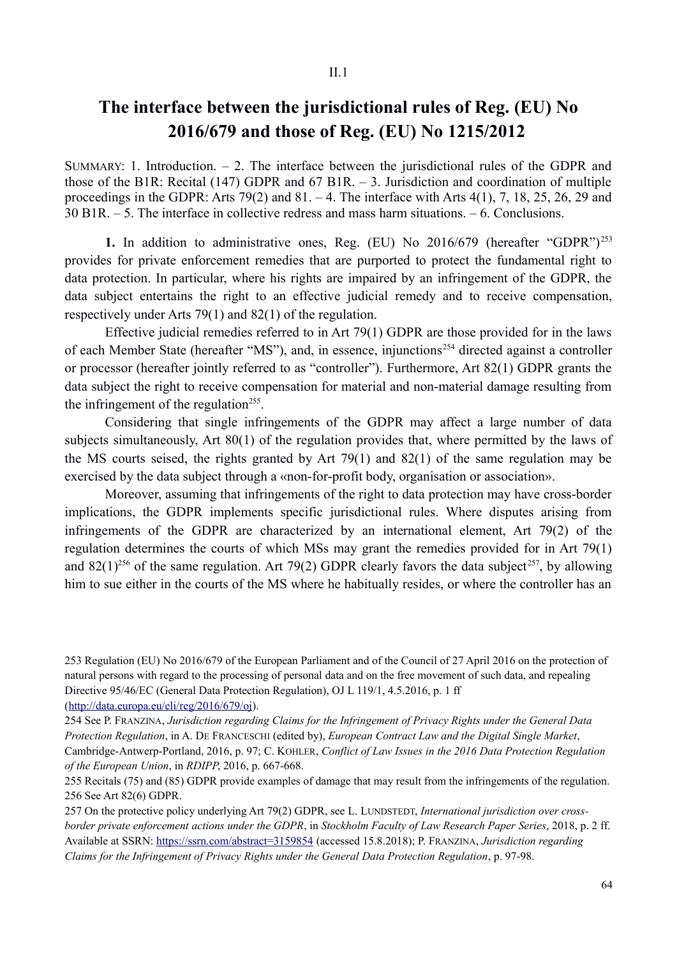## **The interface between the jurisdictional rules of Reg. (EU) No 2016/679 and those of Reg. (EU) No 1215/2012**

SUMMARY: 1. Introduction.  $-2$ . The interface between the jurisdictional rules of the GDPR and those of the B1R: Recital (147) GDPR and 67 B1R.  $-$  3. Jurisdiction and coordination of multiple proceedings in the GDPR: Arts  $79(2)$  and  $81. - 4$ . The interface with Arts  $4(1)$ , 7, 18, 25, 26, 29 and 30 B1R. ‒ 5. The interface in collective redress and mass harm situations. ‒ 6. Conclusions.

**1.** In addition to administrative ones, Reg. (EU) No 2016/679 (hereafter "GDPR")<sup>253</sup> provides for private enforcement remedies that are purported to protect the fundamental right to data protection. In particular, where his rights are impaired by an infringement of the GDPR, the data subject entertains the right to an effective judicial remedy and to receive compensation, respectively under Arts 79(1) and 82(1) of the regulation.

Effective judicial remedies referred to in Art 79(1) GDPR are those provided for in the laws of each Member State (hereafter "MS"), and, in essence, injunctions<sup>254</sup> directed against a controller or processor (hereafter jointly referred to as "controller"). Furthermore, Art 82(1) GDPR grants the data subject the right to receive compensation for material and non-material damage resulting from the infringement of the regulation<sup>255</sup>.

Considering that single infringements of the GDPR may affect a large number of data subjects simultaneously, Art 80(1) of the regulation provides that, where permitted by the laws of the MS courts seised, the rights granted by Art 79(1) and 82(1) of the same regulation may be exercised by the data subject through a «non-for-profit body, organisation or association».

Moreover, assuming that infringements of the right to data protection may have cross-border implications, the GDPR implements specific jurisdictional rules. Where disputes arising from infringements of the GDPR are characterized by an international element, Art 79(2) of the regulation determines the courts of which MSs may grant the remedies provided for in Art 79(1) and 82(1)<sup>256</sup> of the same regulation. Art 79(2) GDPR clearly favors the data subject<sup>257</sup>, by allowing him to sue either in the courts of the MS where he habitually resides, or where the controller has an

<sup>253</sup> Regulation (EU) No 2016/679 of the European Parliament and of the Council of 27 April 2016 on the protection of natural persons with regard to the processing of personal data and on the free movement of such data, and repealing Directive 95/46/EC (General Data Protection Regulation), OJ L 119/1, 4.5.2016, p. 1 ff (http://data.europa.eu/eli/reg/2016/679/oj).

<sup>254</sup> See P. FRANZINA, *Jurisdiction regarding Claims for the Infringement of Privacy Rights under the General Data Protection Regulation*, in A. DE FRANCESCHI (edited by), *European Contract Law and the Digital Single Market*, Cambridge-Antwerp-Portland, 2016, p. 97; C. KOHLER, *Conflict of Law Issues in the 2016 Data Protection Regulation of the European Union*, in *RDIPP*, 2016, p. 667-668.

<sup>255</sup> Recitals (75) and (85) GDPR provide examples of damage that may result from the infringements of the regulation. 256 See Art 82(6) GDPR.

<sup>257</sup> On the protective policy underlying Art 79(2) GDPR, see L. LUNDSTEDT, *International jurisdiction over crossborder private enforcement actions under the GDPR*, in *Stockholm Faculty of Law Research Paper Series*, 2018, p. 2 ff. Available at SSRN: https://ssrn.com/abstract=3159854 (accessed 15.8.2018); P. FRANZINA, *Jurisdiction regarding Claims for the Infringement of Privacy Rights under the General Data Protection Regulation*, p. 97-98.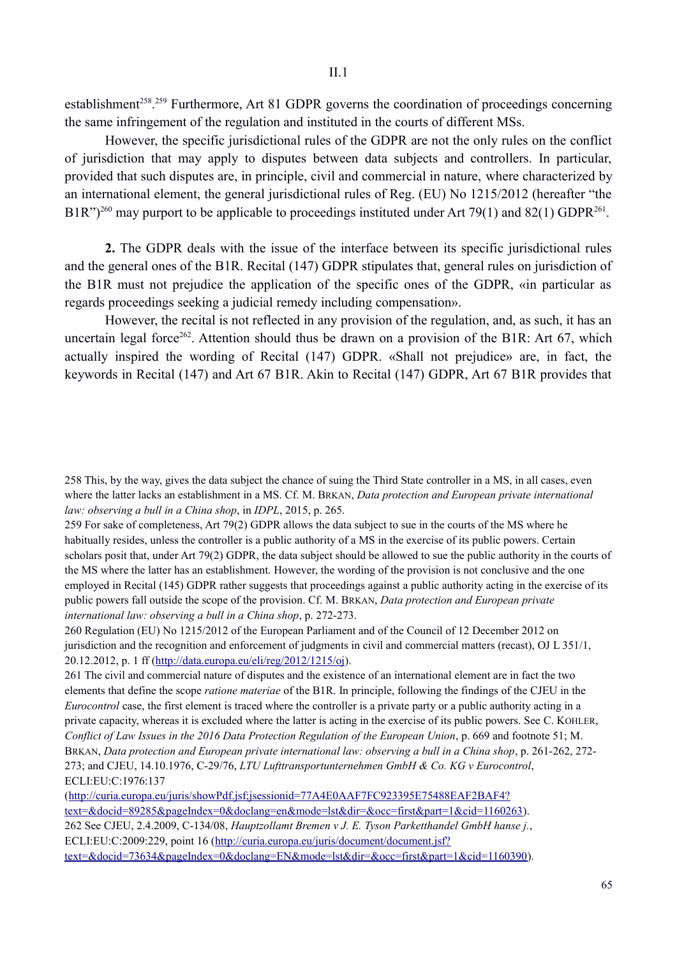establishment<sup>258</sup>.<sup>259</sup> Furthermore, Art 81 GDPR governs the coordination of proceedings concerning the same infringement of the regulation and instituted in the courts of different MSs.

However, the specific jurisdictional rules of the GDPR are not the only rules on the conflict of jurisdiction that may apply to disputes between data subjects and controllers. In particular, provided that such disputes are, in principle, civil and commercial in nature, where characterized by an international element, the general jurisdictional rules of Reg. (EU) No 1215/2012 (hereafter "the B1R")<sup>260</sup> may purport to be applicable to proceedings instituted under Art 79(1) and 82(1) GDPR<sup>261</sup>.

**2.** The GDPR deals with the issue of the interface between its specific jurisdictional rules and the general ones of the B1R. Recital (147) GDPR stipulates that, general rules on jurisdiction of the B1R must not prejudice the application of the specific ones of the GDPR, «in particular as regards proceedings seeking a judicial remedy including compensation».

However, the recital is not reflected in any provision of the regulation, and, as such, it has an uncertain legal force<sup>262</sup>. Attention should thus be drawn on a provision of the B1R: Art 67, which actually inspired the wording of Recital (147) GDPR. «Shall not prejudice» are, in fact, the keywords in Recital (147) and Art 67 B1R. Akin to Recital (147) GDPR, Art 67 B1R provides that

259 For sake of completeness, Art 79(2) GDPR allows the data subject to sue in the courts of the MS where he habitually resides, unless the controller is a public authority of a MS in the exercise of its public powers. Certain scholars posit that, under Art 79(2) GDPR, the data subject should be allowed to sue the public authority in the courts of the MS where the latter has an establishment. However, the wording of the provision is not conclusive and the one employed in Recital (145) GDPR rather suggests that proceedings against a public authority acting in the exercise of its public powers fall outside the scope of the provision. Cf. M. BRKAN, *Data protection and European private international law: observing a bull in a China shop*, p. 272-273.

260 Regulation (EU) No 1215/2012 of the European Parliament and of the Council of 12 December 2012 on jurisdiction and the recognition and enforcement of judgments in civil and commercial matters (recast), OJ L 351/1, 20.12.2012, p. 1 ff (http://data.europa.eu/eli/reg/2012/1215/oj).

261 The civil and commercial nature of disputes and the existence of an international element are in fact the two elements that define the scope *ratione materiae* of the B1R. In principle, following the findings of the CJEU in the *Eurocontrol* case, the first element is traced where the controller is a private party or a public authority acting in a private capacity, whereas it is excluded where the latter is acting in the exercise of its public powers. See C. KOHLER, *Conflict of Law Issues in the 2016 Data Protection Regulation of the European Union*, p. 669 and footnote 51; M. BRKAN, *Data protection and European private international law: observing a bull in a China shop*, p. 261-262, 272- 273; and CJEU, 14.10.1976, C-29/76, *LTU Lufttransportunternehmen GmbH & Co. KG v Eurocontrol*, ECLI:EU:C:1976:137

(http://curia.europa.eu/juris/showPdf.jsf;jsessionid=77A4E0AAF7FC923395E75488EAF2BAF4? text=&docid=89285&pageIndex=0&doclang=en&mode=lst&dir=&occ=first&part=1&cid=1160263). 262 See CJEU, 2.4.2009, C-134/08, *Hauptzollamt Bremen v J. E. Tyson Parketthandel GmbH hanse j.*, ECLI:EU:C:2009:229, point 16 (http://curia.europa.eu/juris/document/document.jsf? text=&docid=73634&pageIndex=0&doclang=EN&mode=lst&dir=&occ=first&part=1&cid=1160390).

<sup>258</sup> This, by the way, gives the data subject the chance of suing the Third State controller in a MS, in all cases, even where the latter lacks an establishment in a MS. Cf. M. BRKAN, *Data protection and European private international law: observing a bull in a China shop*, in *IDPL*, 2015, p. 265.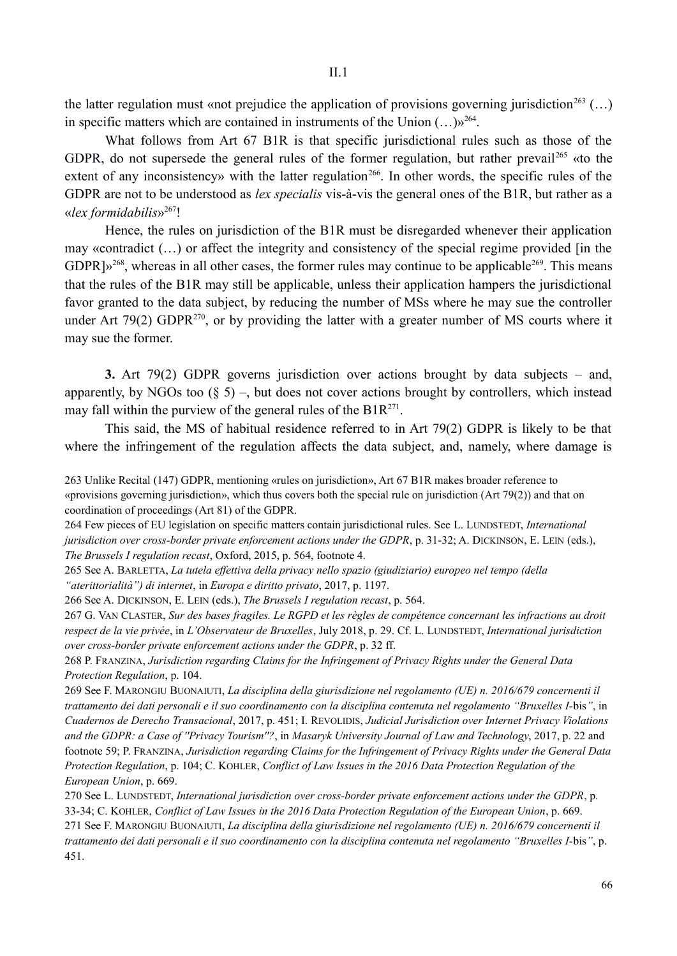the latter regulation must «not prejudice the application of provisions governing jurisdiction<sup>263</sup> (...) in specific matters which are contained in instruments of the Union  $(...)$ <sup>264</sup>.

What follows from Art 67 B1R is that specific jurisdictional rules such as those of the GDPR, do not supersede the general rules of the former regulation, but rather prevail<sup>265</sup> «to the extent of any inconsistency» with the latter regulation<sup>266</sup>. In other words, the specific rules of the GDPR are not to be understood as *lex specialis* vis-à-vis the general ones of the B1R, but rather as a «*lex formidabilis*»267!

Hence, the rules on jurisdiction of the B1R must be disregarded whenever their application may «contradict (…) or affect the integrity and consistency of the special regime provided [in the  $GDPR\psi^{268}$ , whereas in all other cases, the former rules may continue to be applicable<sup>269</sup>. This means that the rules of the B1R may still be applicable, unless their application hampers the jurisdictional favor granted to the data subject, by reducing the number of MSs where he may sue the controller under Art 79(2) GDPR $^{270}$ , or by providing the latter with a greater number of MS courts where it may sue the former.

**3.** Art 79(2) GDPR governs jurisdiction over actions brought by data subjects – and, apparently, by NGOs too  $(\xi 5)$  –, but does not cover actions brought by controllers, which instead may fall within the purview of the general rules of the  $B1R^{271}$ .

This said, the MS of habitual residence referred to in Art 79(2) GDPR is likely to be that where the infringement of the regulation affects the data subject, and, namely, where damage is

264 Few pieces of EU legislation on specific matters contain jurisdictional rules. See L. LUNDSTEDT, *International jurisdiction over cross-border private enforcement actions under the GDPR*, p. 31-32; A. DICKINSON, E. LEIN (eds.), *The Brussels I regulation recast*, Oxford, 2015, p. 564, footnote 4.

266 See A. DICKINSON, E. LEIN (eds.), *The Brussels I regulation recast*, p. 564.

267 G. VAN CLASTER, *Sur des bases fragiles. Le RGPD et les règles de compétence concernant les infractions au droit respect de la vie privée*, in *L'Observateur de Bruxelles*, July 2018, p. 29. Cf. L. LUNDSTEDT, *International jurisdiction over cross-border private enforcement actions under the GDPR*, p. 32 ff.

268 P. FRANZINA, *Jurisdiction regarding Claims for the Infringement of Privacy Rights under the General Data Protection Regulation*, p. 104.

269 See F. MARONGIU BUONAIUTI, *La disciplina della giurisdizione nel regolamento (UE) n. 2016/679 concernenti il trattamento dei dati personali e il suo coordinamento con la disciplina contenuta nel regolamento "Bruxelles I-*bis*"*, in *Cuadernos de Derecho Transacional*, 2017, p. 451; I. REVOLIDIS, *Judicial Jurisdiction over Internet Privacy Violations and the GDPR: a Case of ''Privacy Tourism''?*, in *Masaryk University Journal of Law and Technology*, 2017, p. 22 and footnote 59; P. FRANZINA, *Jurisdiction regarding Claims for the Infringement of Privacy Rights under the General Data Protection Regulation*, p. 104; C. KOHLER, *Conflict of Law Issues in the 2016 Data Protection Regulation of the European Union*, p. 669.

270 See L. LUNDSTEDT, *International jurisdiction over cross-border private enforcement actions under the GDPR*, p. 33-34; C. KOHLER, *Conflict of Law Issues in the 2016 Data Protection Regulation of the European Union*, p. 669. 271 See F. MARONGIU BUONAIUTI, *La disciplina della giurisdizione nel regolamento (UE) n. 2016/679 concernenti il trattamento dei dati personali e il suo coordinamento con la disciplina contenuta nel regolamento "Bruxelles I-*bis*"*, p. 451.

<sup>263</sup> Unlike Recital (147) GDPR, mentioning «rules on jurisdiction», Art 67 B1R makes broader reference to «provisions governing jurisdiction», which thus covers both the special rule on jurisdiction (Art 79(2)) and that on coordination of proceedings (Art 81) of the GDPR.

<sup>265</sup> See A. BARLETTA, *La tutela effettiva della privacy nello spazio (giudiziario) europeo nel tempo (della "aterittorialità") di internet*, in *Europa e diritto privato*, 2017, p. 1197.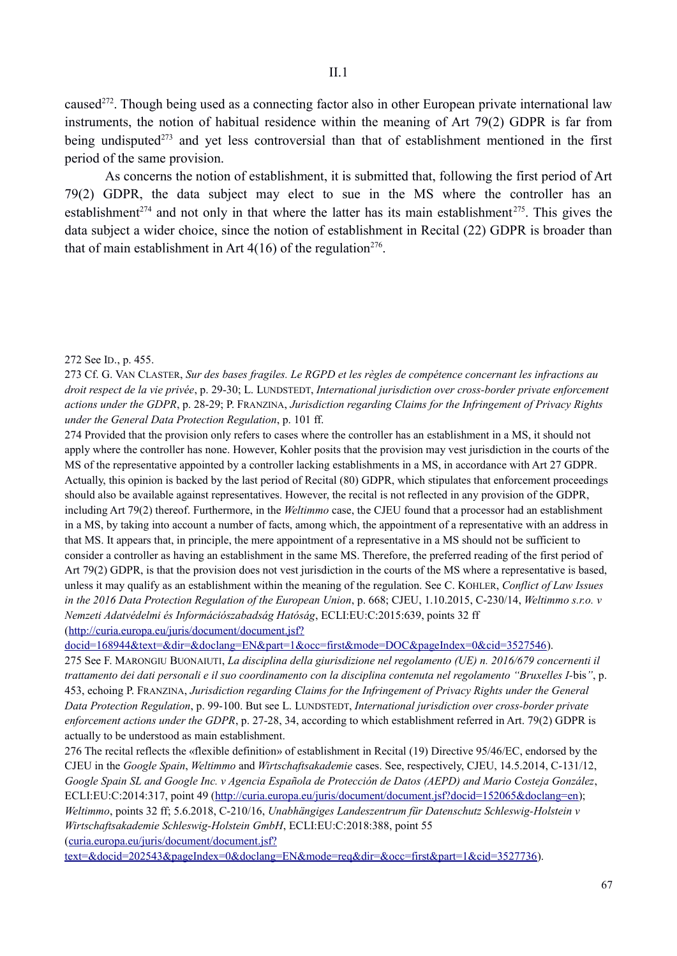caused<sup>272</sup>. Though being used as a connecting factor also in other European private international law instruments, the notion of habitual residence within the meaning of Art 79(2) GDPR is far from being undisputed<sup>273</sup> and yet less controversial than that of establishment mentioned in the first period of the same provision.

As concerns the notion of establishment, it is submitted that, following the first period of Art 79(2) GDPR, the data subject may elect to sue in the MS where the controller has an establishment<sup>274</sup> and not only in that where the latter has its main establishment<sup>275</sup>. This gives the data subject a wider choice, since the notion of establishment in Recital (22) GDPR is broader than that of main establishment in Art  $4(16)$  of the regulation<sup>276</sup>.

## 272 See ID., p. 455.

274 Provided that the provision only refers to cases where the controller has an establishment in a MS, it should not apply where the controller has none. However, Kohler posits that the provision may vest jurisdiction in the courts of the MS of the representative appointed by a controller lacking establishments in a MS, in accordance with Art 27 GDPR. Actually, this opinion is backed by the last period of Recital (80) GDPR, which stipulates that enforcement proceedings should also be available against representatives. However, the recital is not reflected in any provision of the GDPR, including Art 79(2) thereof. Furthermore, in the *Weltimmo* case, the CJEU found that a processor had an establishment in a MS, by taking into account a number of facts, among which, the appointment of a representative with an address in that MS. It appears that, in principle, the mere appointment of a representative in a MS should not be sufficient to consider a controller as having an establishment in the same MS. Therefore, the preferred reading of the first period of Art 79(2) GDPR, is that the provision does not vest jurisdiction in the courts of the MS where a representative is based, unless it may qualify as an establishment within the meaning of the regulation. See C. KOHLER, *Conflict of Law Issues in the 2016 Data Protection Regulation of the European Union*, p. 668; CJEU, 1.10.2015, C-230/14, *Weltimmo s.r.o. v Nemzeti Adatvédelmi és Információszabadság Hatóság*, ECLI:EU:C:2015:639, points 32 ff (http://curia.europa.eu/juris/document/document.jsf?

docid=168944&text=&dir=&doclang=EN&part=1&occ=first&mode=DOC&pageIndex=0&cid=3527546).

275 See F. MARONGIU BUONAIUTI, *La disciplina della giurisdizione nel regolamento (UE) n. 2016/679 concernenti il trattamento dei dati personali e il suo coordinamento con la disciplina contenuta nel regolamento "Bruxelles I-*bis*"*, p. 453, echoing P. FRANZINA, *Jurisdiction regarding Claims for the Infringement of Privacy Rights under the General Data Protection Regulation*, p. 99-100. But see L. LUNDSTEDT, *International jurisdiction over cross-border private enforcement actions under the GDPR*, p. 27-28, 34, according to which establishment referred in Art. 79(2) GDPR is actually to be understood as main establishment.

276 The recital reflects the «flexible definition» of establishment in Recital (19) Directive 95/46/EC, endorsed by the CJEU in the *Google Spain*, *Weltimmo* and *Wirtschaftsakademie* cases. See, respectively, CJEU, 14.5.2014, C-131/12, *Google Spain SL and Google Inc. v Agencia Española de Protección de Datos (AEPD) and Mario Costeja González*, ECLI:EU:C:2014:317, point 49 (http://curia.europa.eu/juris/document/document.jsf?docid=152065&doclang=en); *Weltimmo*, points 32 ff; 5.6.2018, C-210/16, *Unabhängiges Landeszentrum für Datenschutz Schleswig-Holstein v Wirtschaftsakademie Schleswig-Holstein GmbH*, ECLI:EU:C:2018:388, point 55 (curia.europa.eu/juris/document/document.jsf?

text=&docid=202543&pageIndex=0&doclang=EN&mode=req&dir=&occ=first&part=1&cid=3527736).

<sup>273</sup> Cf. G. VAN CLASTER, *Sur des bases fragiles. Le RGPD et les règles de compétence concernant les infractions au droit respect de la vie privée*, p. 29-30; L. LUNDSTEDT, *International jurisdiction over cross-border private enforcement actions under the GDPR*, p. 28-29; P. FRANZINA, *Jurisdiction regarding Claims for the Infringement of Privacy Rights under the General Data Protection Regulation*, p. 101 ff.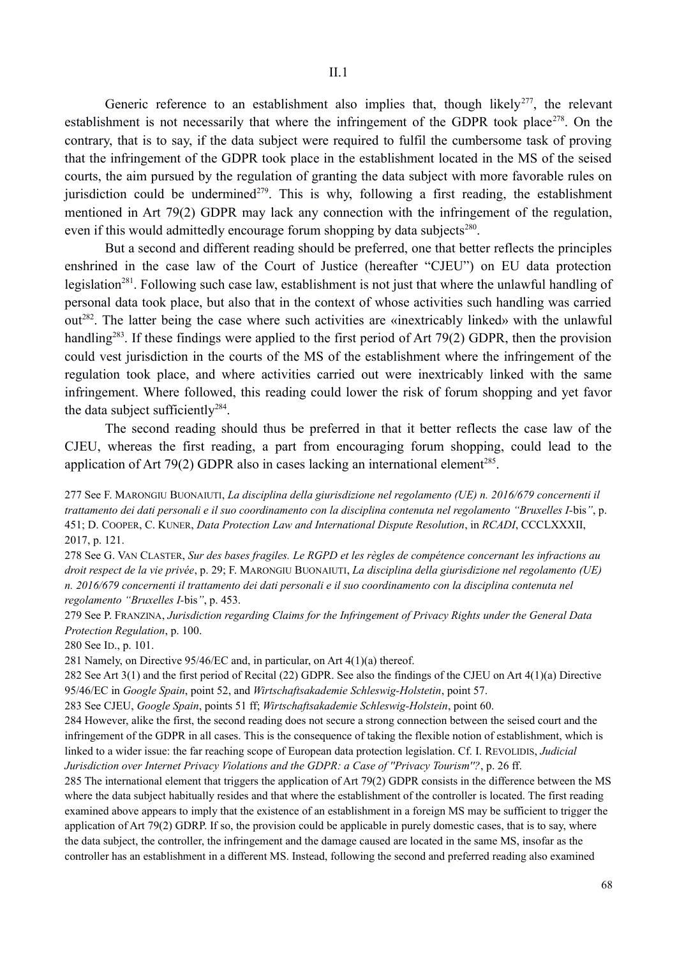Generic reference to an establishment also implies that, though likely<sup>277</sup>, the relevant establishment is not necessarily that where the infringement of the GDPR took place<sup>278</sup>. On the contrary, that is to say, if the data subject were required to fulfil the cumbersome task of proving that the infringement of the GDPR took place in the establishment located in the MS of the seised courts, the aim pursued by the regulation of granting the data subject with more favorable rules on jurisdiction could be undermined<sup>279</sup>. This is why, following a first reading, the establishment mentioned in Art 79(2) GDPR may lack any connection with the infringement of the regulation, even if this would admittedly encourage forum shopping by data subjects<sup>280</sup>.

But a second and different reading should be preferred, one that better reflects the principles enshrined in the case law of the Court of Justice (hereafter "CJEU") on EU data protection legislation<sup>281</sup>. Following such case law, establishment is not just that where the unlawful handling of personal data took place, but also that in the context of whose activities such handling was carried out282. The latter being the case where such activities are «inextricably linked» with the unlawful handling<sup>283</sup>. If these findings were applied to the first period of Art 79(2) GDPR, then the provision could vest jurisdiction in the courts of the MS of the establishment where the infringement of the regulation took place, and where activities carried out were inextricably linked with the same infringement. Where followed, this reading could lower the risk of forum shopping and yet favor the data subject sufficiently<sup>284</sup>.

The second reading should thus be preferred in that it better reflects the case law of the CJEU, whereas the first reading, a part from encouraging forum shopping, could lead to the application of Art 79(2) GDPR also in cases lacking an international element<sup>285</sup>.

277 See F. MARONGIU BUONAIUTI, *La disciplina della giurisdizione nel regolamento (UE) n. 2016/679 concernenti il trattamento dei dati personali e il suo coordinamento con la disciplina contenuta nel regolamento "Bruxelles I-*bis*"*, p. 451; D. COOPER, C. KUNER, *Data Protection Law and International Dispute Resolution*, in *RCADI*, CCCLXXXII, 2017, p. 121.

278 See G. VAN CLASTER, *Sur des bases fragiles. Le RGPD et les règles de compétence concernant les infractions au droit respect de la vie privée*, p. 29; F. MARONGIU BUONAIUTI, *La disciplina della giurisdizione nel regolamento (UE) n. 2016/679 concernenti il trattamento dei dati personali e il suo coordinamento con la disciplina contenuta nel regolamento "Bruxelles I-*bis*"*, p. 453.

279 See P. FRANZINA, *Jurisdiction regarding Claims for the Infringement of Privacy Rights under the General Data Protection Regulation*, p. 100.

280 See ID., p. 101.

281 Namely, on Directive 95/46/EC and, in particular, on Art 4(1)(a) thereof.

282 See Art 3(1) and the first period of Recital (22) GDPR. See also the findings of the CJEU on Art 4(1)(a) Directive 95/46/EC in *Google Spain*, point 52, and *Wirtschaftsakademie Schleswig-Holstetin*, point 57.

283 See CJEU, *Google Spain*, points 51 ff; *Wirtschaftsakademie Schleswig-Holstein*, point 60.

284 However, alike the first, the second reading does not secure a strong connection between the seised court and the infringement of the GDPR in all cases. This is the consequence of taking the flexible notion of establishment, which is linked to a wider issue: the far reaching scope of European data protection legislation. Cf. I. REVOLIDIS, *Judicial Jurisdiction over Internet Privacy Violations and the GDPR: a Case of ''Privacy Tourism''?*, p. 26 ff.

285 The international element that triggers the application of Art 79(2) GDPR consists in the difference between the MS where the data subject habitually resides and that where the establishment of the controller is located. The first reading examined above appears to imply that the existence of an establishment in a foreign MS may be sufficient to trigger the application of Art 79(2) GDRP. If so, the provision could be applicable in purely domestic cases, that is to say, where the data subject, the controller, the infringement and the damage caused are located in the same MS, insofar as the controller has an establishment in a different MS. Instead, following the second and preferred reading also examined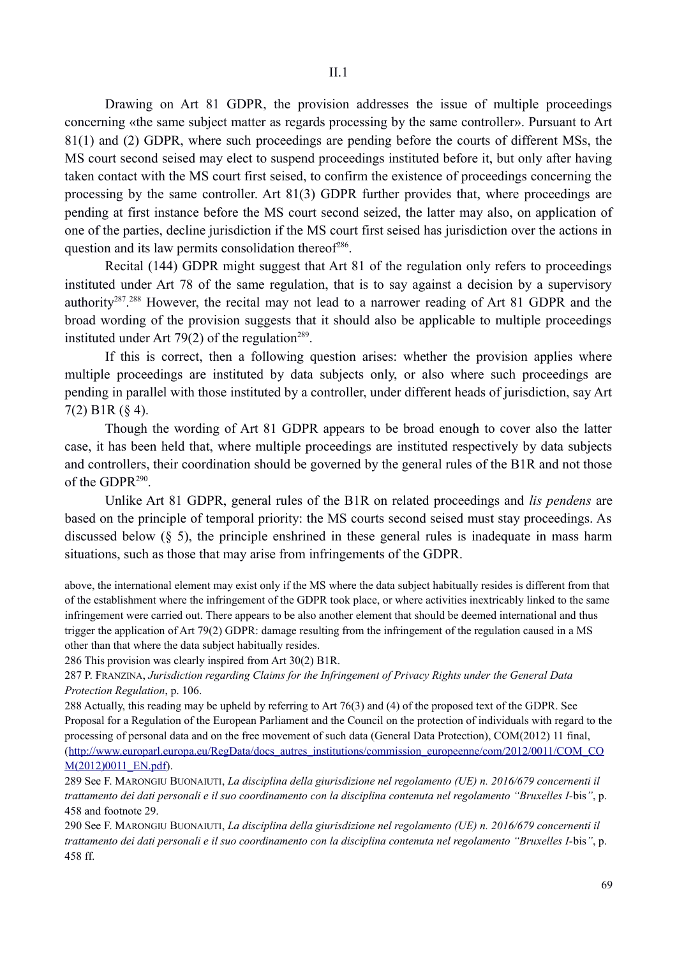Drawing on Art 81 GDPR, the provision addresses the issue of multiple proceedings concerning «the same subject matter as regards processing by the same controller». Pursuant to Art 81(1) and (2) GDPR, where such proceedings are pending before the courts of different MSs, the MS court second seised may elect to suspend proceedings instituted before it, but only after having taken contact with the MS court first seised, to confirm the existence of proceedings concerning the processing by the same controller. Art 81(3) GDPR further provides that, where proceedings are pending at first instance before the MS court second seized, the latter may also, on application of one of the parties, decline jurisdiction if the MS court first seised has jurisdiction over the actions in question and its law permits consolidation thereof $286$ .

Recital (144) GDPR might suggest that Art 81 of the regulation only refers to proceedings instituted under Art 78 of the same regulation, that is to say against a decision by a supervisory authority<sup>287</sup>.<sup>288</sup> However, the recital may not lead to a narrower reading of Art 81 GDPR and the broad wording of the provision suggests that it should also be applicable to multiple proceedings instituted under Art 79(2) of the regulation<sup>289</sup>.

If this is correct, then a following question arises: whether the provision applies where multiple proceedings are instituted by data subjects only, or also where such proceedings are pending in parallel with those instituted by a controller, under different heads of jurisdiction, say Art 7(2) B1R (§ 4).

Though the wording of Art 81 GDPR appears to be broad enough to cover also the latter case, it has been held that, where multiple proceedings are instituted respectively by data subjects and controllers, their coordination should be governed by the general rules of the B1R and not those of the GDPR $^{290}$ .

Unlike Art 81 GDPR, general rules of the B1R on related proceedings and *lis pendens* are based on the principle of temporal priority: the MS courts second seised must stay proceedings. As discussed below (§ 5), the principle enshrined in these general rules is inadequate in mass harm situations, such as those that may arise from infringements of the GDPR.

above, the international element may exist only if the MS where the data subject habitually resides is different from that of the establishment where the infringement of the GDPR took place, or where activities inextricably linked to the same infringement were carried out. There appears to be also another element that should be deemed international and thus trigger the application of Art 79(2) GDPR: damage resulting from the infringement of the regulation caused in a MS other than that where the data subject habitually resides.

286 This provision was clearly inspired from Art 30(2) B1R.

287 P. FRANZINA, *Jurisdiction regarding Claims for the Infringement of Privacy Rights under the General Data Protection Regulation*, p. 106.

288 Actually, this reading may be upheld by referring to Art 76(3) and (4) of the proposed text of the GDPR. See Proposal for a Regulation of the European Parliament and the Council on the protection of individuals with regard to the processing of personal data and on the free movement of such data (General Data Protection), COM(2012) 11 final, (http://www.europarl.europa.eu/RegData/docs\_autres\_institutions/commission\_europeenne/com/2012/0011/COM\_CO M(2012)0011\_EN.pdf).

289 See F. MARONGIU BUONAIUTI, *La disciplina della giurisdizione nel regolamento (UE) n. 2016/679 concernenti il trattamento dei dati personali e il suo coordinamento con la disciplina contenuta nel regolamento "Bruxelles I-*bis*"*, p. 458 and footnote 29.

290 See F. MARONGIU BUONAIUTI, *La disciplina della giurisdizione nel regolamento (UE) n. 2016/679 concernenti il trattamento dei dati personali e il suo coordinamento con la disciplina contenuta nel regolamento "Bruxelles I-*bis*"*, p. 458 ff.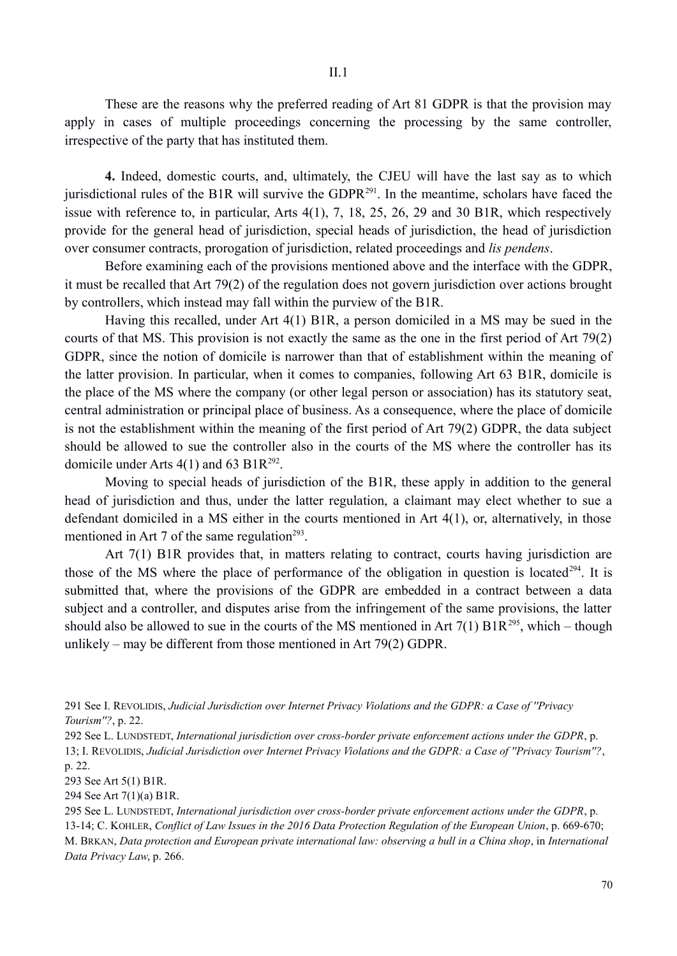These are the reasons why the preferred reading of Art 81 GDPR is that the provision may apply in cases of multiple proceedings concerning the processing by the same controller, irrespective of the party that has instituted them.

**4.** Indeed, domestic courts, and, ultimately, the CJEU will have the last say as to which jurisdictional rules of the B1R will survive the GDPR<sup>291</sup>. In the meantime, scholars have faced the issue with reference to, in particular, Arts 4(1), 7, 18, 25, 26, 29 and 30 B1R, which respectively provide for the general head of jurisdiction, special heads of jurisdiction, the head of jurisdiction over consumer contracts, prorogation of jurisdiction, related proceedings and *lis pendens*.

Before examining each of the provisions mentioned above and the interface with the GDPR, it must be recalled that Art 79(2) of the regulation does not govern jurisdiction over actions brought by controllers, which instead may fall within the purview of the B1R.

Having this recalled, under Art 4(1) B1R, a person domiciled in a MS may be sued in the courts of that MS. This provision is not exactly the same as the one in the first period of Art 79(2) GDPR, since the notion of domicile is narrower than that of establishment within the meaning of the latter provision. In particular, when it comes to companies, following Art 63 B1R, domicile is the place of the MS where the company (or other legal person or association) has its statutory seat, central administration or principal place of business. As a consequence, where the place of domicile is not the establishment within the meaning of the first period of Art 79(2) GDPR, the data subject should be allowed to sue the controller also in the courts of the MS where the controller has its domicile under Arts  $4(1)$  and 63 B1R<sup>292</sup>.

Moving to special heads of jurisdiction of the B1R, these apply in addition to the general head of jurisdiction and thus, under the latter regulation, a claimant may elect whether to sue a defendant domiciled in a MS either in the courts mentioned in Art 4(1), or, alternatively, in those mentioned in Art 7 of the same regulation<sup> $293$ </sup>.

Art 7(1) B1R provides that, in matters relating to contract, courts having jurisdiction are those of the MS where the place of performance of the obligation in question is located<sup>294</sup>. It is submitted that, where the provisions of the GDPR are embedded in a contract between a data subject and a controller, and disputes arise from the infringement of the same provisions, the latter should also be allowed to sue in the courts of the MS mentioned in Art  $7(1)$  B1R<sup>295</sup>, which – though unlikely – may be different from those mentioned in Art 79(2) GDPR.

291 See I. REVOLIDIS, *Judicial Jurisdiction over Internet Privacy Violations and the GDPR: a Case of ''Privacy Tourism''?*, p. 22.

292 See L. LUNDSTEDT, *International jurisdiction over cross-border private enforcement actions under the GDPR*, p. 13; I. REVOLIDIS, *Judicial Jurisdiction over Internet Privacy Violations and the GDPR: a Case of ''Privacy Tourism''?*, p. 22.

293 See Art 5(1) B1R.

294 See Art 7(1)(a) B1R.

295 See L. LUNDSTEDT, *International jurisdiction over cross-border private enforcement actions under the GDPR*, p. 13-14; C. KOHLER, *Conflict of Law Issues in the 2016 Data Protection Regulation of the European Union*, p. 669-670; M. BRKAN, *Data protection and European private international law: observing a bull in a China shop*, in *International Data Privacy Law*, p. 266.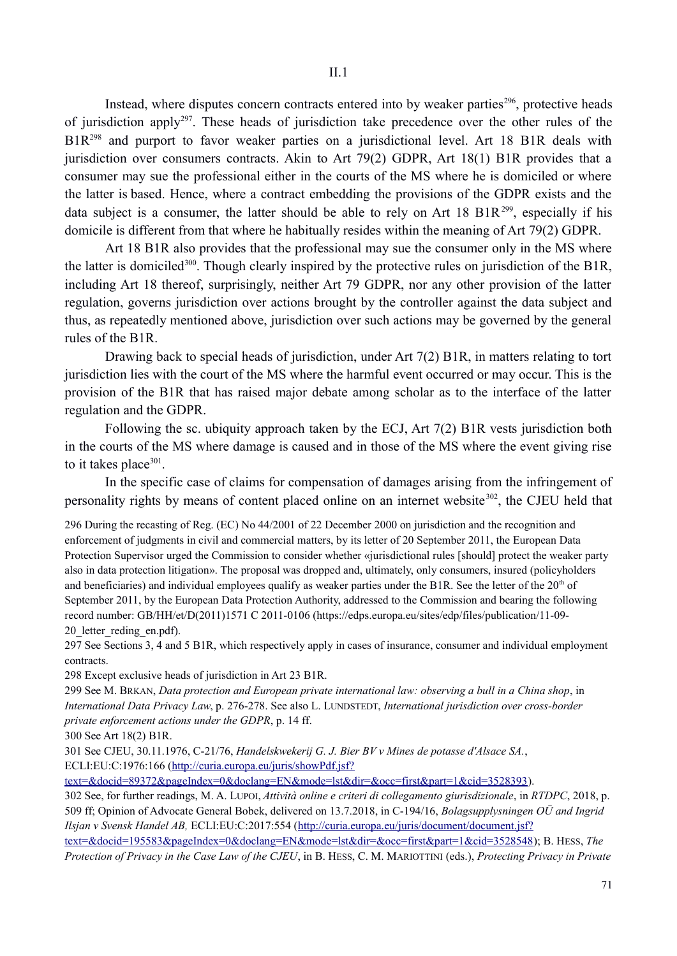Instead, where disputes concern contracts entered into by weaker parties<sup>296</sup>, protective heads of jurisdiction apply297. These heads of jurisdiction take precedence over the other rules of the B1R<sup>298</sup> and purport to favor weaker parties on a jurisdictional level. Art 18 B1R deals with jurisdiction over consumers contracts. Akin to Art 79(2) GDPR, Art 18(1) B1R provides that a consumer may sue the professional either in the courts of the MS where he is domiciled or where the latter is based. Hence, where a contract embedding the provisions of the GDPR exists and the data subject is a consumer, the latter should be able to rely on Art 18 B1R<sup>299</sup>, especially if his domicile is different from that where he habitually resides within the meaning of Art 79(2) GDPR.

Art 18 B1R also provides that the professional may sue the consumer only in the MS where the latter is domiciled<sup>300</sup>. Though clearly inspired by the protective rules on jurisdiction of the B1R, including Art 18 thereof, surprisingly, neither Art 79 GDPR, nor any other provision of the latter regulation, governs jurisdiction over actions brought by the controller against the data subject and thus, as repeatedly mentioned above, jurisdiction over such actions may be governed by the general rules of the B1R.

Drawing back to special heads of jurisdiction, under Art 7(2) B1R, in matters relating to tort jurisdiction lies with the court of the MS where the harmful event occurred or may occur. This is the provision of the B1R that has raised major debate among scholar as to the interface of the latter regulation and the GDPR.

Following the sc. ubiquity approach taken by the ECJ, Art 7(2) B1R vests jurisdiction both in the courts of the MS where damage is caused and in those of the MS where the event giving rise to it takes place $301$ .

In the specific case of claims for compensation of damages arising from the infringement of personality rights by means of content placed online on an internet website<sup>302</sup>, the CJEU held that

296 During the recasting of Reg. (EC) No 44/2001 of 22 December 2000 on jurisdiction and the recognition and enforcement of judgments in civil and commercial matters, by its letter of 20 September 2011, the European Data Protection Supervisor urged the Commission to consider whether «jurisdictional rules [should] protect the weaker party also in data protection litigation». The proposal was dropped and, ultimately, only consumers, insured (policyholders and beneficiaries) and individual employees qualify as weaker parties under the B1R. See the letter of the  $20<sup>th</sup>$  of September 2011, by the European Data Protection Authority, addressed to the Commission and bearing the following record number: GB/HH/et/D(2011)1571 C 2011-0106 (https://edps.europa.eu/sites/edp/files/publication/11-09- 20 letter reding en.pdf).

297 See Sections 3, 4 and 5 B1R, which respectively apply in cases of insurance, consumer and individual employment contracts.

298 Except exclusive heads of jurisdiction in Art 23 B1R.

299 See M. BRKAN, *Data protection and European private international law: observing a bull in a China shop*, in *International Data Privacy Law*, p. 276-278. See also L. LUNDSTEDT, *International jurisdiction over cross-border private enforcement actions under the GDPR*, p. 14 ff.

300 See Art 18(2) B1R.

301 See CJEU, 30.11.1976, C-21/76, *Handelskwekerij G. J. Bier BV v Mines de potasse d'Alsace SA.*, ECLI:EU:C:1976:166 (http://curia.europa.eu/juris/showPdf.jsf?

text=&docid=89372&pageIndex=0&doclang=EN&mode=lst&dir=&occ=first&part=1&cid=3528393).

302 See, for further readings, M. A. LUPOI, *Attività online e criteri di collegamento giurisdizionale*, in *RTDPC*, 2018, p. 509 ff; Opinion of Advocate General Bobek, delivered on 13.7.2018, in C-194/16, *Bolagsupplysningen OÜ and Ingrid Ilsjan v Svensk Handel AB,* ECLI:EU:C:2017:554 (http://curia.europa.eu/juris/document/document.jsf?

text=&docid=195583&pageIndex=0&doclang=EN&mode=lst&dir=&occ=first&part=1&cid=3528548); B. HESS, *The Protection of Privacy in the Case Law of the CJEU*, in B. HESS, C. M. MARIOTTINI (eds.), *Protecting Privacy in Private*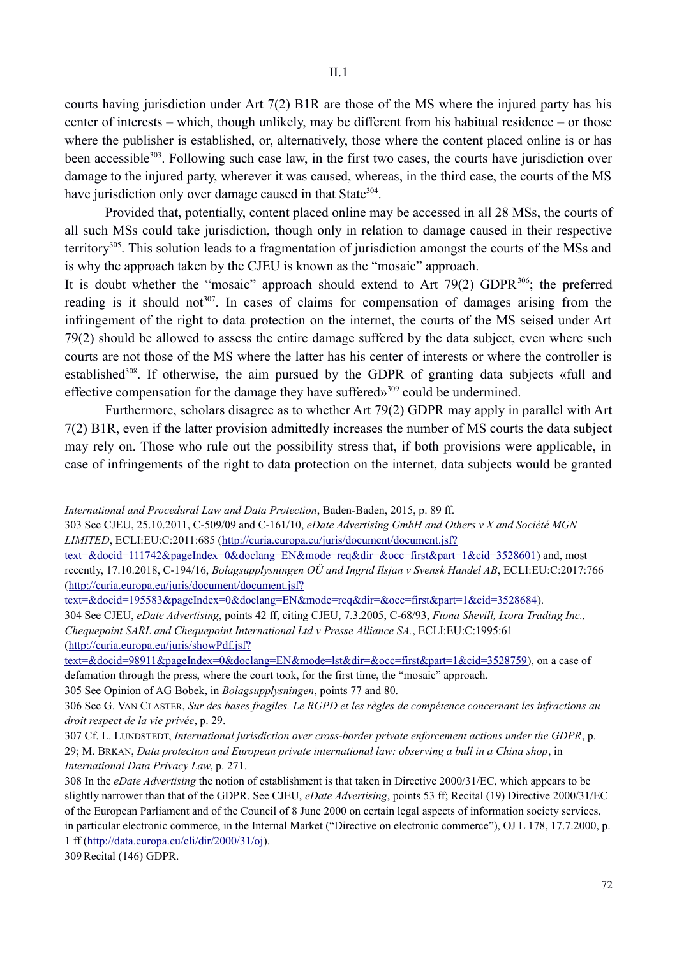courts having jurisdiction under Art 7(2) B1R are those of the MS where the injured party has his center of interests – which, though unlikely, may be different from his habitual residence – or those where the publisher is established, or, alternatively, those where the content placed online is or has been accessible<sup>303</sup>. Following such case law, in the first two cases, the courts have jurisdiction over damage to the injured party, wherever it was caused, whereas, in the third case, the courts of the MS have jurisdiction only over damage caused in that State<sup>304</sup>.

Provided that, potentially, content placed online may be accessed in all 28 MSs, the courts of all such MSs could take jurisdiction, though only in relation to damage caused in their respective territory305. This solution leads to a fragmentation of jurisdiction amongst the courts of the MSs and is why the approach taken by the CJEU is known as the "mosaic" approach.

It is doubt whether the "mosaic" approach should extend to Art 79(2) GDPR $^{306}$ ; the preferred reading is it should not<sup>307</sup>. In cases of claims for compensation of damages arising from the infringement of the right to data protection on the internet, the courts of the MS seised under Art 79(2) should be allowed to assess the entire damage suffered by the data subject, even where such courts are not those of the MS where the latter has his center of interests or where the controller is established<sup>308</sup>. If otherwise, the aim pursued by the GDPR of granting data subjects «full and effective compensation for the damage they have suffered»309 could be undermined.

Furthermore, scholars disagree as to whether Art 79(2) GDPR may apply in parallel with Art 7(2) B1R, even if the latter provision admittedly increases the number of MS courts the data subject may rely on. Those who rule out the possibility stress that, if both provisions were applicable, in case of infringements of the right to data protection on the internet, data subjects would be granted

*International and Procedural Law and Data Protection*, Baden-Baden, 2015, p. 89 ff.

303 See CJEU, 25.10.2011, C-509/09 and C-161/10, *eDate Advertising GmbH and Others v X and Société MGN LIMITED*, ECLI:EU:C:2011:685 (http://curia.europa.eu/juris/document/document.jsf?)

text=&docid=111742&pageIndex=0&doclang=EN&mode=req&dir=&occ=first&part=1&cid=3528601) and, most recently, 17.10.2018, C-194/16, *Bolagsupplysningen OÜ and Ingrid Ilsjan v Svensk Handel AB*, ECLI:EU:C:2017:766 (http://curia.europa.eu/juris/document/document.jsf?

text=&docid=195583&pageIndex=0&doclang=EN&mode=req&dir=&occ=first&part=1&cid=3528684).

304 See CJEU, *eDate Advertising*, points 42 ff, citing CJEU, 7.3.2005, C-68/93, *Fiona Shevill, Ixora Trading Inc., Chequepoint SARL and Chequepoint International Ltd v Presse Alliance SA.*, ECLI:EU:C:1995:61 (http://curia.europa.eu/juris/showPdf.jsf?

text=&docid=98911&pageIndex=0&doclang=EN&mode=lst&dir=&occ=first&part=1&cid=3528759), on a case of defamation through the press, where the court took, for the first time, the "mosaic" approach.

305 See Opinion of AG Bobek, in *Bolagsupplysningen*, points 77 and 80.

309Recital (146) GDPR.

<sup>306</sup> See G. VAN CLASTER, *Sur des bases fragiles. Le RGPD et les règles de compétence concernant les infractions au droit respect de la vie privée*, p. 29.

<sup>307</sup> Cf. L. LUNDSTEDT, *International jurisdiction over cross-border private enforcement actions under the GDPR*, p. 29; M. BRKAN, *Data protection and European private international law: observing a bull in a China shop*, in *International Data Privacy Law*, p. 271.

<sup>308</sup> In the *eDate Advertising* the notion of establishment is that taken in Directive 2000/31/EC, which appears to be slightly narrower than that of the GDPR. See CJEU, *eDate Advertising*, points 53 ff; Recital (19) Directive 2000/31/EC of the European Parliament and of the Council of 8 June 2000 on certain legal aspects of information society services, in particular electronic commerce, in the Internal Market ("Directive on electronic commerce"), OJ L 178, 17.7.2000, p. 1 ff (http://data.europa.eu/eli/dir/2000/31/oj).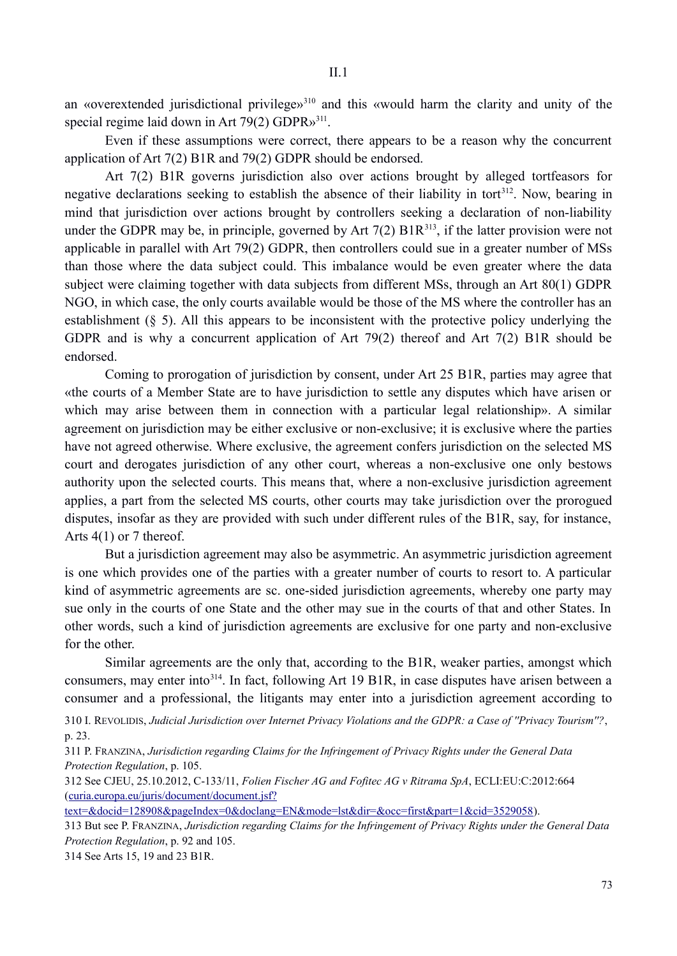an «overextended jurisdictional privilege»<sup>310</sup> and this «would harm the clarity and unity of the special regime laid down in Art  $79(2)$  GDPR $v^{311}$ .

Even if these assumptions were correct, there appears to be a reason why the concurrent application of Art 7(2) B1R and 79(2) GDPR should be endorsed.

Art 7(2) B1R governs jurisdiction also over actions brought by alleged tortfeasors for negative declarations seeking to establish the absence of their liability in tort<sup>312</sup>. Now, bearing in mind that jurisdiction over actions brought by controllers seeking a declaration of non-liability under the GDPR may be, in principle, governed by Art  $7(2)$   $B1R<sup>313</sup>$ , if the latter provision were not applicable in parallel with Art 79(2) GDPR, then controllers could sue in a greater number of MSs than those where the data subject could. This imbalance would be even greater where the data subject were claiming together with data subjects from different MSs, through an Art 80(1) GDPR NGO, in which case, the only courts available would be those of the MS where the controller has an establishment (§ 5). All this appears to be inconsistent with the protective policy underlying the GDPR and is why a concurrent application of Art 79(2) thereof and Art 7(2) B1R should be endorsed.

Coming to prorogation of jurisdiction by consent, under Art 25 B1R, parties may agree that «the courts of a Member State are to have jurisdiction to settle any disputes which have arisen or which may arise between them in connection with a particular legal relationship». A similar agreement on jurisdiction may be either exclusive or non-exclusive; it is exclusive where the parties have not agreed otherwise. Where exclusive, the agreement confers jurisdiction on the selected MS court and derogates jurisdiction of any other court, whereas a non-exclusive one only bestows authority upon the selected courts. This means that, where a non-exclusive jurisdiction agreement applies, a part from the selected MS courts, other courts may take jurisdiction over the prorogued disputes, insofar as they are provided with such under different rules of the B1R, say, for instance, Arts 4(1) or 7 thereof.

But a jurisdiction agreement may also be asymmetric. An asymmetric jurisdiction agreement is one which provides one of the parties with a greater number of courts to resort to. A particular kind of asymmetric agreements are sc. one-sided jurisdiction agreements, whereby one party may sue only in the courts of one State and the other may sue in the courts of that and other States. In other words, such a kind of jurisdiction agreements are exclusive for one party and non-exclusive for the other.

Similar agreements are the only that, according to the B1R, weaker parties, amongst which consumers, may enter into<sup>314</sup>. In fact, following Art 19 B1R, in case disputes have arisen between a consumer and a professional, the litigants may enter into a jurisdiction agreement according to

310 I. REVOLIDIS, *Judicial Jurisdiction over Internet Privacy Violations and the GDPR: a Case of ''Privacy Tourism''?*, p. 23.

311 P. FRANZINA, *Jurisdiction regarding Claims for the Infringement of Privacy Rights under the General Data Protection Regulation*, p. 105.

312 See CJEU, 25.10.2012, C-133/11, *Folien Fischer AG and Fofitec AG v Ritrama SpA*, ECLI:EU:C:2012:664 (curia.europa.eu/juris/document/document.jsf?

text=&docid=128908&pageIndex=0&doclang=EN&mode=lst&dir=&occ=first&part=1&cid=3529058).

313 But see P. FRANZINA, *Jurisdiction regarding Claims for the Infringement of Privacy Rights under the General Data Protection Regulation*, p. 92 and 105.

314 See Arts 15, 19 and 23 B1R.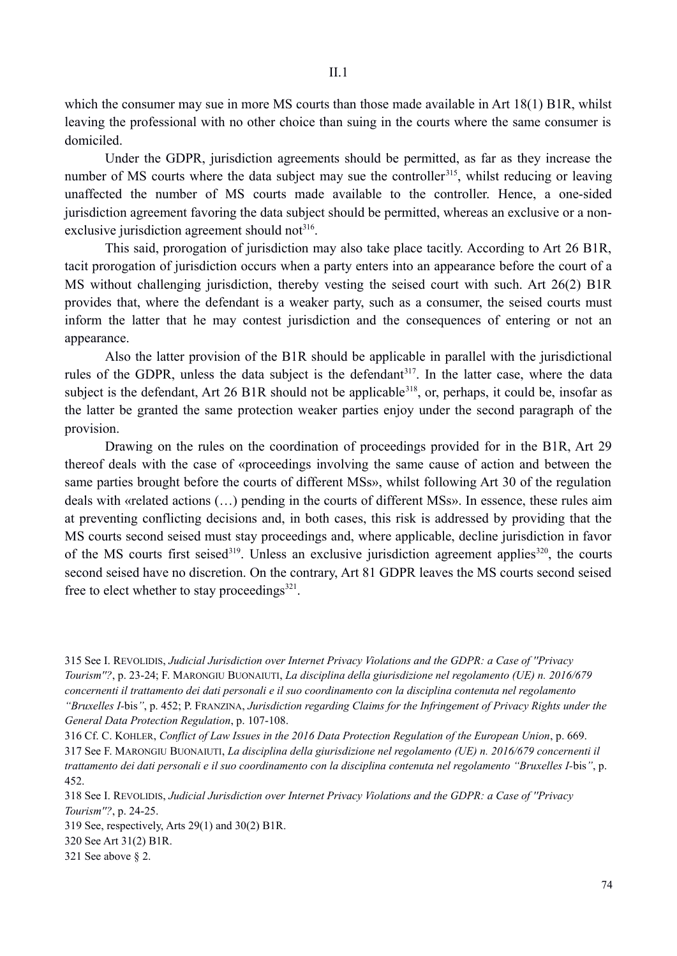which the consumer may sue in more MS courts than those made available in Art 18(1) B1R, whilst leaving the professional with no other choice than suing in the courts where the same consumer is domiciled.

Under the GDPR, jurisdiction agreements should be permitted, as far as they increase the number of MS courts where the data subject may sue the controller<sup>315</sup>, whilst reducing or leaving unaffected the number of MS courts made available to the controller. Hence, a one-sided jurisdiction agreement favoring the data subject should be permitted, whereas an exclusive or a nonexclusive jurisdiction agreement should not<sup>316</sup>.

This said, prorogation of jurisdiction may also take place tacitly. According to Art 26 B1R, tacit prorogation of jurisdiction occurs when a party enters into an appearance before the court of a MS without challenging jurisdiction, thereby vesting the seised court with such. Art 26(2) B1R provides that, where the defendant is a weaker party, such as a consumer, the seised courts must inform the latter that he may contest jurisdiction and the consequences of entering or not an appearance.

Also the latter provision of the B1R should be applicable in parallel with the jurisdictional rules of the GDPR, unless the data subject is the defendant<sup>317</sup>. In the latter case, where the data subject is the defendant, Art 26 B1R should not be applicable<sup>318</sup>, or, perhaps, it could be, insofar as the latter be granted the same protection weaker parties enjoy under the second paragraph of the provision.

Drawing on the rules on the coordination of proceedings provided for in the B1R, Art 29 thereof deals with the case of «proceedings involving the same cause of action and between the same parties brought before the courts of different MSs», whilst following Art 30 of the regulation deals with «related actions (…) pending in the courts of different MSs». In essence, these rules aim at preventing conflicting decisions and, in both cases, this risk is addressed by providing that the MS courts second seised must stay proceedings and, where applicable, decline jurisdiction in favor of the MS courts first seised<sup>319</sup>. Unless an exclusive jurisdiction agreement applies<sup>320</sup>, the courts second seised have no discretion. On the contrary, Art 81 GDPR leaves the MS courts second seised free to elect whether to stay proceedings $^{321}$ .

315 See I. REVOLIDIS, *Judicial Jurisdiction over Internet Privacy Violations and the GDPR: a Case of ''Privacy Tourism''?*, p. 23-24; F. MARONGIU BUONAIUTI, *La disciplina della giurisdizione nel regolamento (UE) n. 2016/679 concernenti il trattamento dei dati personali e il suo coordinamento con la disciplina contenuta nel regolamento "Bruxelles I-*bis*"*, p. 452; P. FRANZINA, *Jurisdiction regarding Claims for the Infringement of Privacy Rights under the General Data Protection Regulation*, p. 107-108.

316 Cf. C. KOHLER, *Conflict of Law Issues in the 2016 Data Protection Regulation of the European Union*, p. 669. 317 See F. MARONGIU BUONAIUTI, *La disciplina della giurisdizione nel regolamento (UE) n. 2016/679 concernenti il trattamento dei dati personali e il suo coordinamento con la disciplina contenuta nel regolamento "Bruxelles I-*bis*"*, p. 452.

318 See I. REVOLIDIS, *Judicial Jurisdiction over Internet Privacy Violations and the GDPR: a Case of ''Privacy Tourism''?*, p. 24-25.

319 See, respectively, Arts 29(1) and 30(2) B1R.

320 See Art 31(2) B1R.

321 See above § 2.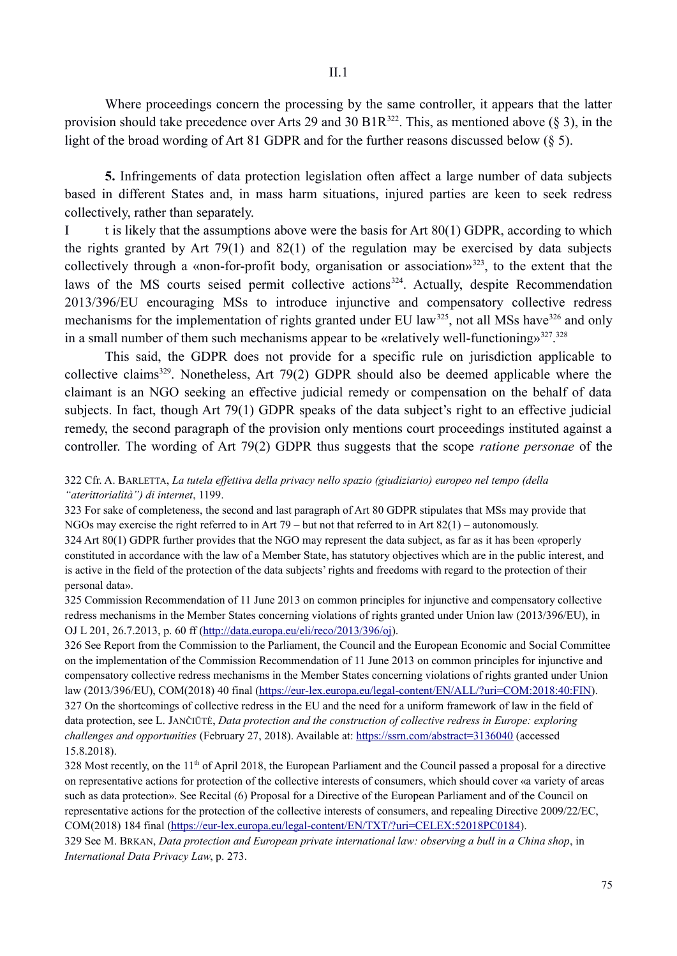Where proceedings concern the processing by the same controller, it appears that the latter provision should take precedence over Arts 29 and 30 B1R<sup>322</sup>. This, as mentioned above (§ 3), in the light of the broad wording of Art 81 GDPR and for the further reasons discussed below (§ 5).

**5.** Infringements of data protection legislation often affect a large number of data subjects based in different States and, in mass harm situations, injured parties are keen to seek redress collectively, rather than separately.

I t is likely that the assumptions above were the basis for Art 80(1) GDPR, according to which the rights granted by Art 79(1) and 82(1) of the regulation may be exercised by data subjects collectively through a «non-for-profit body, organisation or association»323, to the extent that the laws of the MS courts seised permit collective actions<sup>324</sup>. Actually, despite Recommendation 2013/396/EU encouraging MSs to introduce injunctive and compensatory collective redress mechanisms for the implementation of rights granted under EU law<sup>325</sup>, not all MSs have<sup>326</sup> and only in a small number of them such mechanisms appear to be «relatively well-functioning»<sup>327</sup>.<sup>328</sup>

This said, the GDPR does not provide for a specific rule on jurisdiction applicable to collective claims329. Nonetheless, Art 79(2) GDPR should also be deemed applicable where the claimant is an NGO seeking an effective judicial remedy or compensation on the behalf of data subjects. In fact, though Art 79(1) GDPR speaks of the data subject's right to an effective judicial remedy, the second paragraph of the provision only mentions court proceedings instituted against a controller. The wording of Art 79(2) GDPR thus suggests that the scope *ratione personae* of the

## 322 Cfr. A. BARLETTA, *La tutela effettiva della privacy nello spazio (giudiziario) europeo nel tempo (della "aterittorialità") di internet*, 1199.

323 For sake of completeness, the second and last paragraph of Art 80 GDPR stipulates that MSs may provide that NGOs may exercise the right referred to in Art  $79 - \text{but not that referred to in Art 82(1)} - \text{automously.}$ 324 Art 80(1) GDPR further provides that the NGO may represent the data subject, as far as it has been «properly constituted in accordance with the law of a Member State, has statutory objectives which are in the public interest, and is active in the field of the protection of the data subjects' rights and freedoms with regard to the protection of their personal data».

325 Commission Recommendation of 11 June 2013 on common principles for injunctive and compensatory collective redress mechanisms in the Member States concerning violations of rights granted under Union law (2013/396/EU), in OJ L 201, 26.7.2013, p. 60 ff (http://data.europa.eu/eli/reco/2013/396/oj).

326 See Report from the Commission to the Parliament, the Council and the European Economic and Social Committee on the implementation of the Commission Recommendation of 11 June 2013 on common principles for injunctive and compensatory collective redress mechanisms in the Member States concerning violations of rights granted under Union law (2013/396/EU), COM(2018) 40 final (https://eur-lex.europa.eu/legal-content/EN/ALL/?uri=COM:2018:40:FIN). 327 On the shortcomings of collective redress in the EU and the need for a uniform framework of law in the field of data protection, see L. JANČIŪTĖ, *Data protection and the construction of collective redress in Europe: exploring challenges and opportunities* (February 27, 2018). Available at: https://ssrn.com/abstract=3136040 (accessed 15.8.2018).

328 Most recently, on the 11<sup>th</sup> of April 2018, the European Parliament and the Council passed a proposal for a directive on representative actions for protection of the collective interests of consumers, which should cover «a variety of areas such as data protection». See Recital (6) Proposal for a Directive of the European Parliament and of the Council on representative actions for the protection of the collective interests of consumers, and repealing Directive 2009/22/EC, COM(2018) 184 final (https://eur-lex.europa.eu/legal-content/EN/TXT/?uri=CELEX:52018PC0184).

329 See M. BRKAN, *Data protection and European private international law: observing a bull in a China shop*, in *International Data Privacy Law*, p. 273.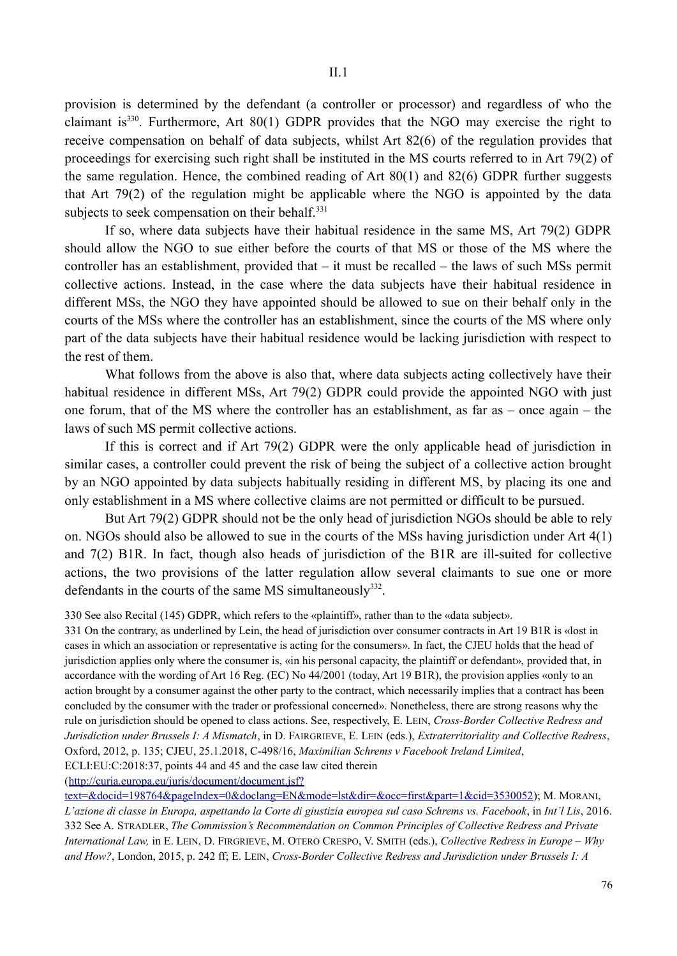provision is determined by the defendant (a controller or processor) and regardless of who the claimant is<sup>330</sup>. Furthermore, Art  $80(1)$  GDPR provides that the NGO may exercise the right to receive compensation on behalf of data subjects, whilst Art 82(6) of the regulation provides that proceedings for exercising such right shall be instituted in the MS courts referred to in Art 79(2) of the same regulation. Hence, the combined reading of Art 80(1) and 82(6) GDPR further suggests that Art 79(2) of the regulation might be applicable where the NGO is appointed by the data subjects to seek compensation on their behalf.<sup>331</sup>

If so, where data subjects have their habitual residence in the same MS, Art 79(2) GDPR should allow the NGO to sue either before the courts of that MS or those of the MS where the controller has an establishment, provided that – it must be recalled – the laws of such MSs permit collective actions. Instead, in the case where the data subjects have their habitual residence in different MSs, the NGO they have appointed should be allowed to sue on their behalf only in the courts of the MSs where the controller has an establishment, since the courts of the MS where only part of the data subjects have their habitual residence would be lacking jurisdiction with respect to the rest of them.

What follows from the above is also that, where data subjects acting collectively have their habitual residence in different MSs, Art 79(2) GDPR could provide the appointed NGO with just one forum, that of the MS where the controller has an establishment, as far as – once again – the laws of such MS permit collective actions.

If this is correct and if Art 79(2) GDPR were the only applicable head of jurisdiction in similar cases, a controller could prevent the risk of being the subject of a collective action brought by an NGO appointed by data subjects habitually residing in different MS, by placing its one and only establishment in a MS where collective claims are not permitted or difficult to be pursued.

But Art 79(2) GDPR should not be the only head of jurisdiction NGOs should be able to rely on. NGOs should also be allowed to sue in the courts of the MSs having jurisdiction under Art 4(1) and 7(2) B1R. In fact, though also heads of jurisdiction of the B1R are ill-suited for collective actions, the two provisions of the latter regulation allow several claimants to sue one or more defendants in the courts of the same MS simultaneously<sup>332</sup>.

330 See also Recital (145) GDPR, which refers to the «plaintiff», rather than to the «data subject».

331 On the contrary, as underlined by Lein, the head of jurisdiction over consumer contracts in Art 19 B1R is «lost in cases in which an association or representative is acting for the consumers». In fact, the CJEU holds that the head of jurisdiction applies only where the consumer is, «in his personal capacity, the plaintiff or defendant», provided that, in accordance with the wording of Art 16 Reg. (EC) No 44/2001 (today, Art 19 B1R), the provision applies «only to an action brought by a consumer against the other party to the contract, which necessarily implies that a contract has been concluded by the consumer with the trader or professional concerned». Nonetheless, there are strong reasons why the rule on jurisdiction should be opened to class actions. See, respectively, E. LEIN, *Cross-Border Collective Redress and Jurisdiction under Brussels I: A Mismatch*, in D. FAIRGRIEVE, E. LEIN (eds.), *Extraterritoriality and Collective Redress*, Oxford, 2012, p. 135; CJEU, 25.1.2018, C-498/16, *Maximilian Schrems v Facebook Ireland Limited*, ECLI:EU:C:2018:37, points 44 and 45 and the case law cited therein

(http://curia.europa.eu/juris/document/document.jsf? text=&docid=198764&pageIndex=0&doclang=EN&mode=lst&dir=&occ=first&part=1&cid=3530052); M. MORANI, *L'azione di classe in Europa, aspettando la Corte di giustizia europea sul caso Schrems vs. Facebook*, in *Int'l Lis*, 2016. 332 See A. STRADLER, *The Commission's Recommendation on Common Principles of Collective Redress and Private International Law,* in E. LEIN, D. FIRGRIEVE, M. OTERO CRESPO, V. SMITH (eds.), *Collective Redress in Europe – Why and How?*, London, 2015, p. 242 ff; E. LEIN, *Cross-Border Collective Redress and Jurisdiction under Brussels I: A*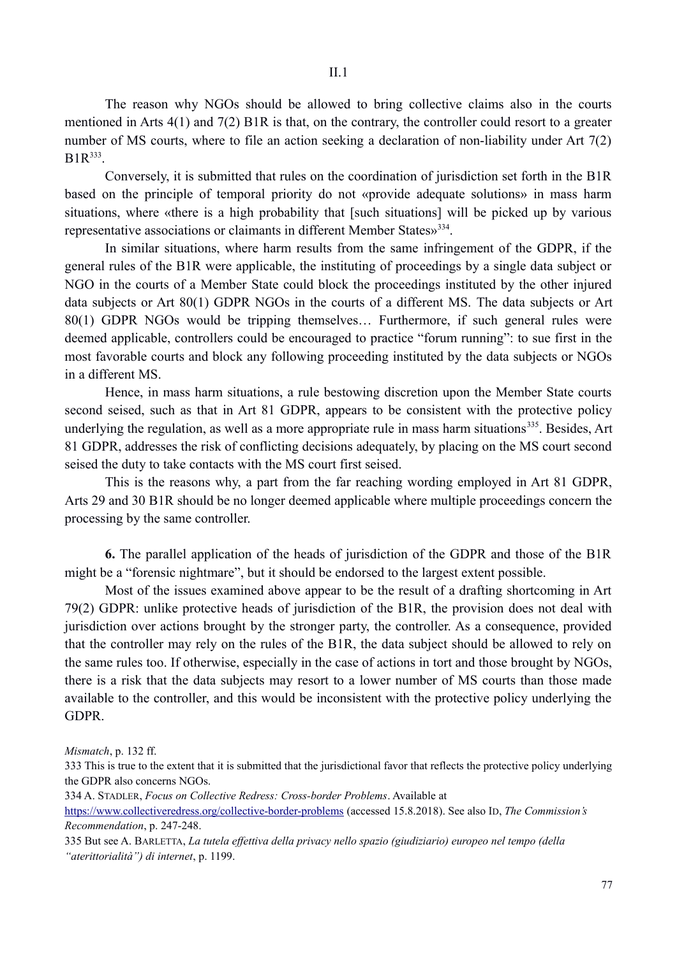The reason why NGOs should be allowed to bring collective claims also in the courts mentioned in Arts 4(1) and 7(2) B1R is that, on the contrary, the controller could resort to a greater number of MS courts, where to file an action seeking a declaration of non-liability under Art 7(2)  $B1R^{333}$ .

Conversely, it is submitted that rules on the coordination of jurisdiction set forth in the B1R based on the principle of temporal priority do not «provide adequate solutions» in mass harm situations, where «there is a high probability that [such situations] will be picked up by various representative associations or claimants in different Member States»<sup>334</sup>.

In similar situations, where harm results from the same infringement of the GDPR, if the general rules of the B1R were applicable, the instituting of proceedings by a single data subject or NGO in the courts of a Member State could block the proceedings instituted by the other injured data subjects or Art 80(1) GDPR NGOs in the courts of a different MS. The data subjects or Art 80(1) GDPR NGOs would be tripping themselves… Furthermore, if such general rules were deemed applicable, controllers could be encouraged to practice "forum running": to sue first in the most favorable courts and block any following proceeding instituted by the data subjects or NGOs in a different MS.

Hence, in mass harm situations, a rule bestowing discretion upon the Member State courts second seised, such as that in Art 81 GDPR, appears to be consistent with the protective policy underlying the regulation, as well as a more appropriate rule in mass harm situations<sup>335</sup>. Besides, Art 81 GDPR, addresses the risk of conflicting decisions adequately, by placing on the MS court second seised the duty to take contacts with the MS court first seised.

This is the reasons why, a part from the far reaching wording employed in Art 81 GDPR, Arts 29 and 30 B1R should be no longer deemed applicable where multiple proceedings concern the processing by the same controller.

**6.** The parallel application of the heads of jurisdiction of the GDPR and those of the B1R might be a "forensic nightmare", but it should be endorsed to the largest extent possible.

Most of the issues examined above appear to be the result of a drafting shortcoming in Art 79(2) GDPR: unlike protective heads of jurisdiction of the B1R, the provision does not deal with jurisdiction over actions brought by the stronger party, the controller. As a consequence, provided that the controller may rely on the rules of the B1R, the data subject should be allowed to rely on the same rules too. If otherwise, especially in the case of actions in tort and those brought by NGOs, there is a risk that the data subjects may resort to a lower number of MS courts than those made available to the controller, and this would be inconsistent with the protective policy underlying the GDPR.

*Mismatch*, p. 132 ff.

334 A. STADLER, *Focus on Collective Redress: Cross-border Problems*. Available at

https://www.collectiveredress.org/collective-border-problems (accessed 15.8.2018). See also ID, *The Commission's Recommendation*, p. 247-248.

335 But see A. BARLETTA, *La tutela effettiva della privacy nello spazio (giudiziario) europeo nel tempo (della "aterittorialità") di internet*, p. 1199.

<sup>333</sup> This is true to the extent that it is submitted that the jurisdictional favor that reflects the protective policy underlying the GDPR also concerns NGOs.